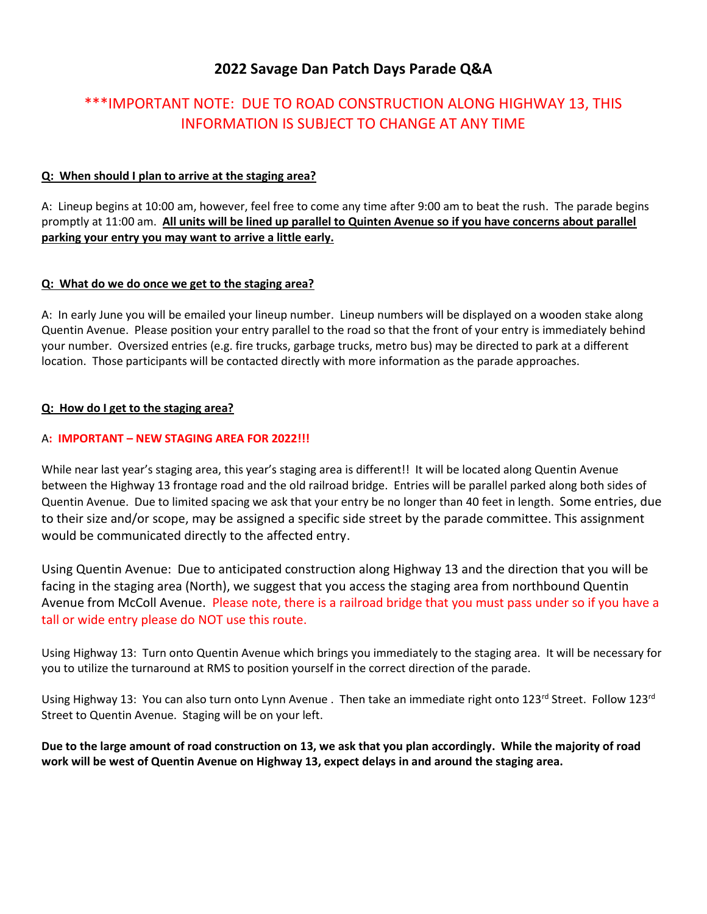# **2022 Savage Dan Patch Days Parade Q&A**

# \*\*\*IMPORTANT NOTE: DUE TO ROAD CONSTRUCTION ALONG HIGHWAY 13, THIS INFORMATION IS SUBJECT TO CHANGE AT ANY TIME

# **Q: When should I plan to arrive at the staging area?**

A: Lineup begins at 10:00 am, however, feel free to come any time after 9:00 am to beat the rush. The parade begins promptly at 11:00 am. **All units will be lined up parallel to Quinten Avenue so if you have concerns about parallel parking your entry you may want to arrive a little early.**

# **Q: What do we do once we get to the staging area?**

A: In early June you will be emailed your lineup number. Lineup numbers will be displayed on a wooden stake along Quentin Avenue. Please position your entry parallel to the road so that the front of your entry is immediately behind your number. Oversized entries (e.g. fire trucks, garbage trucks, metro bus) may be directed to park at a different location. Those participants will be contacted directly with more information as the parade approaches.

# **Q: How do I get to the staging area?**

# A**: IMPORTANT – NEW STAGING AREA FOR 2022!!!**

While near last year's staging area, this year's staging area is different!! It will be located along Quentin Avenue between the Highway 13 frontage road and the old railroad bridge. Entries will be parallel parked along both sides of Quentin Avenue. Due to limited spacing we ask that your entry be no longer than 40 feet in length. Some entries, due to their size and/or scope, may be assigned a specific side street by the parade committee. This assignment would be communicated directly to the affected entry.

Using Quentin Avenue: Due to anticipated construction along Highway 13 and the direction that you will be facing in the staging area (North), we suggest that you access the staging area from northbound Quentin Avenue from McColl Avenue. Please note, there is a railroad bridge that you must pass under so if you have a tall or wide entry please do NOT use this route.

Using Highway 13: Turn onto Quentin Avenue which brings you immediately to the staging area. It will be necessary for you to utilize the turnaround at RMS to position yourself in the correct direction of the parade.

Using Highway 13: You can also turn onto Lynn Avenue . Then take an immediate right onto 123<sup>rd</sup> Street. Follow 123<sup>rd</sup> Street to Quentin Avenue. Staging will be on your left.

**Due to the large amount of road construction on 13, we ask that you plan accordingly. While the majority of road work will be west of Quentin Avenue on Highway 13, expect delays in and around the staging area.**